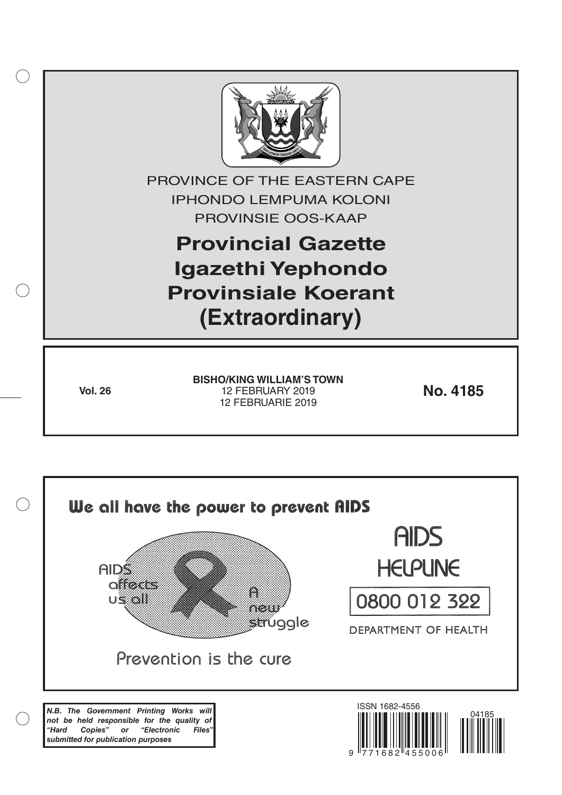

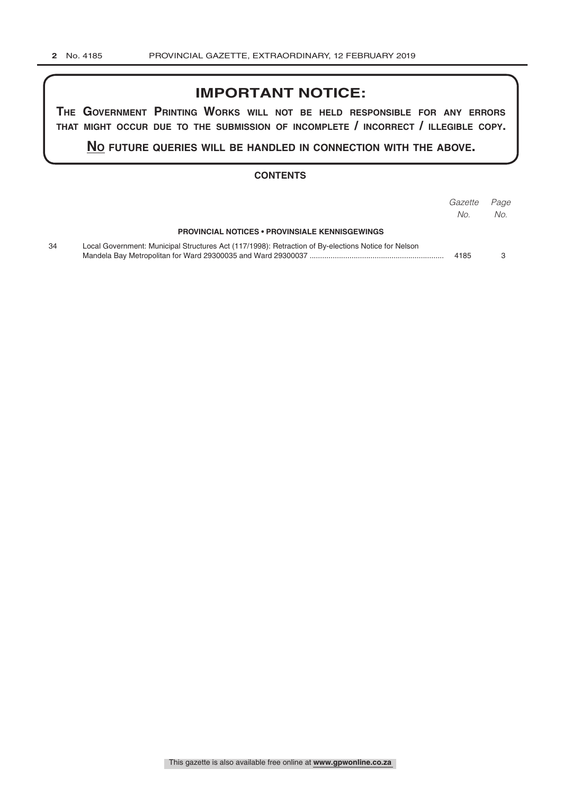# **IMPORTANT NOTICE:**

**The GovernmenT PrinTinG Works Will noT be held resPonsible for any errors ThaT miGhT occur due To The submission of incomPleTe / incorrecT / illeGible coPy.**

**no fuTure queries Will be handled in connecTion WiTh The above.**

#### **CONTENTS**

|    |                                                                                                     | Gazette<br>No. | Page<br>No. |
|----|-----------------------------------------------------------------------------------------------------|----------------|-------------|
|    | <b>PROVINCIAL NOTICES • PROVINSIALE KENNISGEWINGS</b>                                               |                |             |
| 34 | Local Government: Municipal Structures Act (117/1998): Retraction of By-elections Notice for Nelson | 4185           |             |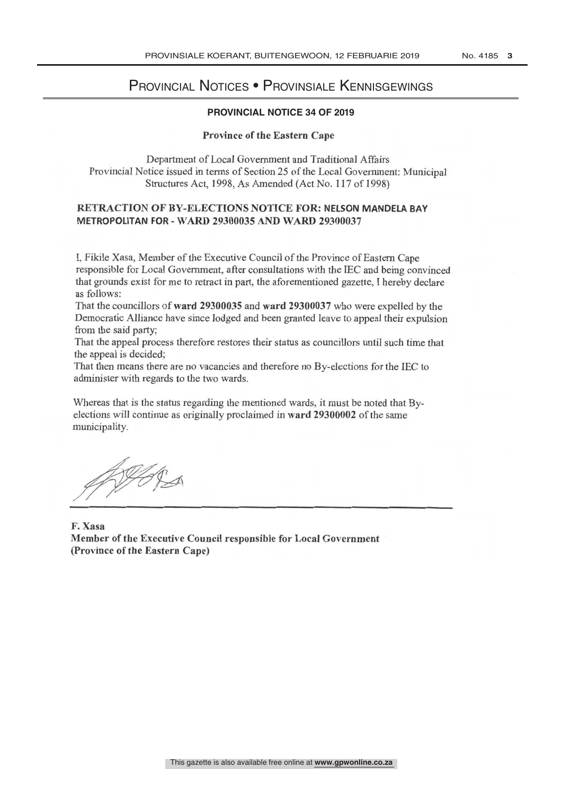# PROVINCIAL NOTICES • PROVINSIALE KENNISGEWINGS

## **PROVINCIAL NOTICE 34 OF 2019**

#### Province of the Eastern Cape

Department of Local Government and Traditional Affairs Provincial Notice issued in terms of Section 25 of the Local Government: Municipal Structures Act, 1998, As Amended (Act No. 117 of 1998)

## RETRACTION OF BY-ELECTIONS NOTICE FOR: NELSON MANDELA BAY METROPOLITAN FOR - WARD 29300035 AND WARD 29300037

I, FIKILE Xasa, Member of the Executive Council of the Province of Eastern Cape responsible for Local Government, after consultations with the LEC and being convinced<br>that example with for we to wheat in nort, the eformantional paratte. I handled and that grounds exist for me to retract in part, the aforementioned gazette, I hereby declare as follows:

That the councillors of ward 29300035 and ward 29300037 who were expelled by the Democratic Alliance have since lodged and been granted leave to appeal their expulsion from the said party;

That the appeal process therefore restores their status as councillors until such time that the appeal is decided;

That then means there are no vacancies and therefore no By- elections for the IEC to administer with regards to the two wards.

Whereas that is the status regarding the mentioned wards, it must be noted that Byelections will continue as originally proclaimed in ward 29300002 of the same municipality.

WORA

F. Xasa Member of the Executive Council responsible for Local Government (Province of the Eastern Cape)